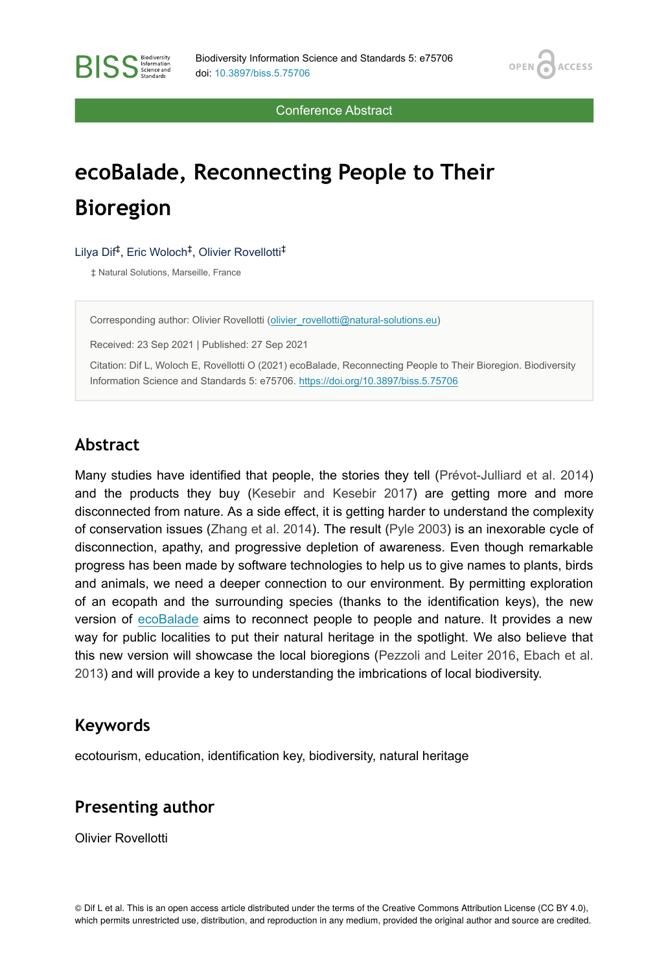OPEN<sub>C</sub>

**ACCESS** 

Conference Abstract

# **ecoBalade, Reconnecting People to Their Bioregion**

#### Lilya Dif<sup>‡</sup>, Eric Woloch<sup>‡</sup>, Olivier Rovellotti<sup>‡</sup>

‡ Natural Solutions, Marseille, France

**RISS** Science and

Corresponding author: Olivier Rovellotti [\(olivier\\_rovellotti@natural-solutions.eu\)](mailto:olivier_rovellotti@natural-solutions.eu)

Received: 23 Sep 2021 | Published: 27 Sep 2021

Citation: Dif L, Woloch E, Rovellotti O (2021) ecoBalade, Reconnecting People to Their Bioregion. Biodiversity Information Science and Standards 5: e75706.<https://doi.org/10.3897/biss.5.75706>

# **Abstract**

Many studies have identified that people, the stories they tell ([Prévot-Julliard et al. 2014](#page-1-0)) and the products they buy [\(Kesebir and Kesebir 2017\)](#page-1-1) are getting more and more disconnected from nature. As a side effect, it is getting harder to understand the complexity of conservation issues ([Zhang et al. 2014](#page-1-2)). The result [\(Pyle 2003\)](#page-1-3) is an inexorable cycle of disconnection, apathy, and progressive depletion of awareness. Even though remarkable progress has been made by software technologies to help us to give names to plants, birds and animals, we need a deeper connection to our environment. By permitting exploration of an ecopath and the surrounding species (thanks to the identification keys), the new version of [ecoBalade](http://www.ecobalade.fr/) aims to reconnect people to people and nature. It provides a new way for public localities to put their natural heritage in the spotlight. We also believe that this new version will showcase the local bioregions ([Pezzoli and Leiter 2016,](#page-1-4) [Ebach et al.](#page-1-5) [2013](#page-1-5)) and will provide a key to understanding the imbrications of local biodiversity.

### **Keywords**

ecotourism, education, identification key, biodiversity, natural heritage

## **Presenting author**

Olivier Rovellotti